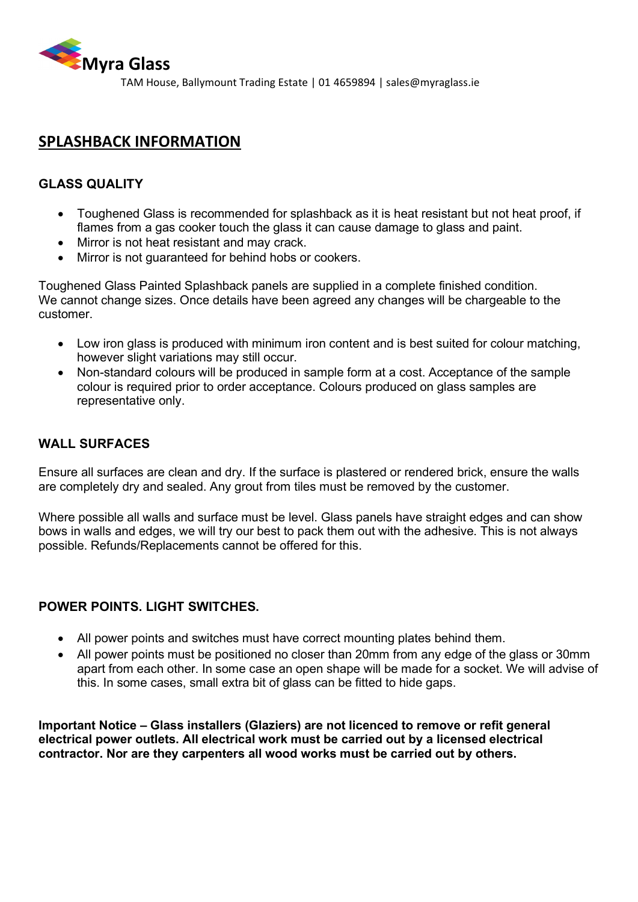

TAM House, Ballymount Trading Estate | 01 4659894 | sales@myraglass.ie

# **SPLASHBACK INFORMATION**

## **GLASS QUALITY**

- Toughened Glass is recommended for splashback as it is heat resistant but not heat proof, if flames from a gas cooker touch the glass it can cause damage to glass and paint.
- Mirror is not heat resistant and may crack.
- Mirror is not guaranteed for behind hobs or cookers.

Toughened Glass Painted Splashback panels are supplied in a complete finished condition. We cannot change sizes. Once details have been agreed any changes will be chargeable to the customer.

- Low iron glass is produced with minimum iron content and is best suited for colour matching, however slight variations may still occur.
- Non-standard colours will be produced in sample form at a cost. Acceptance of the sample colour is required prior to order acceptance. Colours produced on glass samples are representative only.

## **WALL SURFACES**

Ensure all surfaces are clean and dry. If the surface is plastered or rendered brick, ensure the walls are completely dry and sealed. Any grout from tiles must be removed by the customer.

Where possible all walls and surface must be level. Glass panels have straight edges and can show bows in walls and edges, we will try our best to pack them out with the adhesive. This is not always possible. Refunds/Replacements cannot be offered for this.

#### **POWER POINTS. LIGHT SWITCHES.**

- All power points and switches must have correct mounting plates behind them.
- All power points must be positioned no closer than 20mm from any edge of the glass or 30mm apart from each other. In some case an open shape will be made for a socket. We will advise of this. In some cases, small extra bit of glass can be fitted to hide gaps.

**Important Notice – Glass installers (Glaziers) are not licenced to remove or refit general electrical power outlets. All electrical work must be carried out by a licensed electrical contractor. Nor are they carpenters all wood works must be carried out by others.**